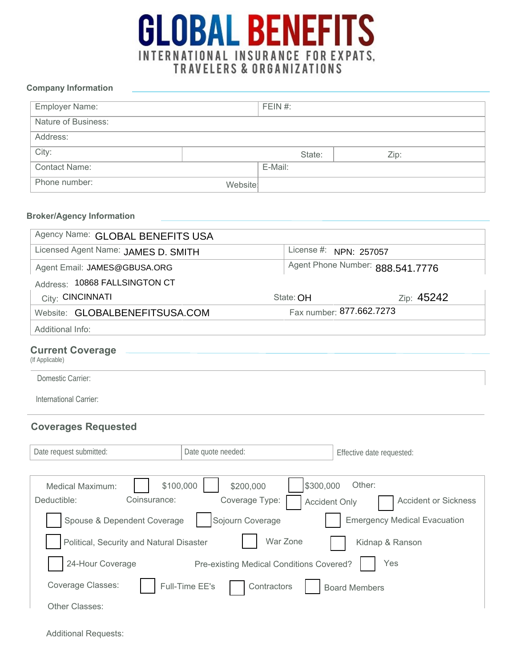

### **Company Information**

| Employer Name:       |         | FEIN $#$ : |      |
|----------------------|---------|------------|------|
| Nature of Business:  |         |            |      |
| Address:             |         |            |      |
| City:                |         | State:     | Zip: |
| <b>Contact Name:</b> |         | E-Mail:    |      |
| Phone number:        | Website |            |      |

### **Broker/Agency Information**

| Agency Name: GLOBAL BENEFITS USA                                    |                                          |                                                               |  |  |
|---------------------------------------------------------------------|------------------------------------------|---------------------------------------------------------------|--|--|
| Licensed Agent Name: JAMES D. SMITH                                 |                                          | License #:<br>NPN: 257057                                     |  |  |
| Agent Email: JAMES@GBUSA.ORG                                        |                                          | Agent Phone Number: 888.541.7776                              |  |  |
| Address: 10868 FALLSINGTON CT                                       |                                          |                                                               |  |  |
| City: CINCINNATI                                                    | Zip: 45242<br>State: OH                  |                                                               |  |  |
| Website: GLOBALBENEFITSUSA.COM                                      | Fax number: 877.662.7273                 |                                                               |  |  |
| Additional Info:                                                    |                                          |                                                               |  |  |
| <b>Current Coverage</b><br>(If Applicable)                          |                                          |                                                               |  |  |
| Domestic Carrier:                                                   |                                          |                                                               |  |  |
| International Carrier:                                              |                                          |                                                               |  |  |
| <b>Coverages Requested</b>                                          |                                          |                                                               |  |  |
| Date request submitted:<br>Date quote needed:                       |                                          | Effective date requested:                                     |  |  |
| \$100,000<br><b>Medical Maximum:</b><br>Coinsurance:<br>Deductible: | \$300,000<br>\$200,000<br>Coverage Type: | Other:<br><b>Accident or Sickness</b><br><b>Accident Only</b> |  |  |
| Spouse & Dependent Coverage                                         | Sojourn Coverage                         | <b>Emergency Medical Evacuation</b>                           |  |  |
| Political, Security and Natural Disaster                            | War Zone                                 | Kidnap & Ranson                                               |  |  |
| 24-Hour Coverage                                                    | Pre-existing Medical Conditions Covered? | Yes                                                           |  |  |
| <b>Coverage Classes:</b><br>Full-Time EE's                          | Contractors                              | <b>Board Members</b>                                          |  |  |
| Other Classes:                                                      |                                          |                                                               |  |  |

Additional Requests: